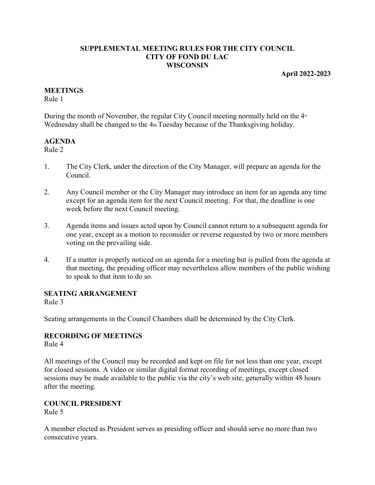#### **SUPPLEMENTAL MEETING RULES FOR THE CITY COUNCIL CITY OF FOND DU LAC WISCONSIN**

#### **April 2022-2023**

#### **MEETINGS**

Rule 1

During the month of November, the regular City Council meeting normally held on the  $4<sup>th</sup>$ Wednesday shall be changed to the 4th Tuesday because of the Thanksgiving holiday.

#### **AGENDA**

Rule 2

- 1. The City Clerk, under the direction of the City Manager, will prepare an agenda for the Council.
- 2. Any Council member or the City Manager may introduce an item for an agenda any time except for an agenda item for the next Council meeting. For that, the deadline is one week before the next Council meeting.
- 3. Agenda items and issues acted upon by Council cannot return to a subsequent agenda for one year, except as a motion to reconsider or reverse requested by two or more members voting on the prevailing side.
- 4. If a matter is properly noticed on an agenda for a meeting but is pulled from the agenda at that meeting, the presiding officer may nevertheless allow members of the public wishing to speak to that item to do so.

## **SEATING ARRANGEMENT**

Rule 3

Seating arrangements in the Council Chambers shall be determined by the City Clerk.

## **RECORDING OF MEETINGS**

Rule 4

All meetings of the Council may be recorded and kept on file for not less than one year, except for closed sessions. A video or similar digital format recording of meetings, except closed sessions may be made available to the public via the city's web site, generally within 48 hours after the meeting.

## **COUNCIL PRESIDENT**

Rule 5

A member elected as President serves as presiding officer and should serve no more than two consecutive years.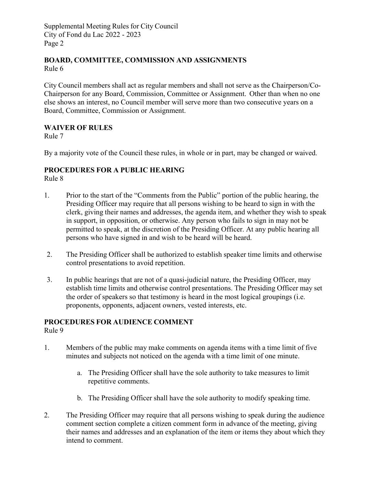Supplemental Meeting Rules for City Council City of Fond du Lac 2022 - 2023 Page 2

#### **BOARD, COMMITTEE, COMMISSION AND ASSIGNMENTS** Rule 6

City Council members shall act as regular members and shall not serve as the Chairperson/Co-Chairperson for any Board, Commission, Committee or Assignment. Other than when no one else shows an interest, no Council member will serve more than two consecutive years on a Board, Committee, Commission or Assignment.

## **WAIVER OF RULES**

Rule 7

By a majority vote of the Council these rules, in whole or in part, may be changed or waived.

## **PROCEDURES FOR A PUBLIC HEARING**

Rule 8

- 1. Prior to the start of the "Comments from the Public" portion of the public hearing, the Presiding Officer may require that all persons wishing to be heard to sign in with the clerk, giving their names and addresses, the agenda item, and whether they wish to speak in support, in opposition, or otherwise. Any person who fails to sign in may not be permitted to speak, at the discretion of the Presiding Officer. At any public hearing all persons who have signed in and wish to be heard will be heard.
- 2. The Presiding Officer shall be authorized to establish speaker time limits and otherwise control presentations to avoid repetition.
- 3. In public hearings that are not of a quasi-judicial nature, the Presiding Officer, may establish time limits and otherwise control presentations. The Presiding Officer may set the order of speakers so that testimony is heard in the most logical groupings (i.e. proponents, opponents, adjacent owners, vested interests, etc.

## **PROCEDURES FOR AUDIENCE COMMENT**

Rule 9

- 1. Members of the public may make comments on agenda items with a time limit of five minutes and subjects not noticed on the agenda with a time limit of one minute.
	- a. The Presiding Officer shall have the sole authority to take measures to limit repetitive comments.
	- b. The Presiding Officer shall have the sole authority to modify speaking time.
- 2. The Presiding Officer may require that all persons wishing to speak during the audience comment section complete a citizen comment form in advance of the meeting, giving their names and addresses and an explanation of the item or items they about which they intend to comment.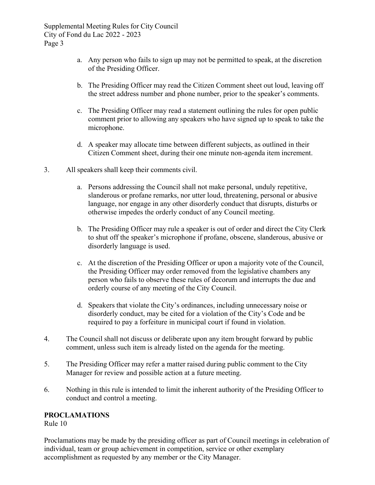Supplemental Meeting Rules for City Council City of Fond du Lac 2022 - 2023 Page 3

- a. Any person who fails to sign up may not be permitted to speak, at the discretion of the Presiding Officer.
- b. The Presiding Officer may read the Citizen Comment sheet out loud, leaving off the street address number and phone number, prior to the speaker's comments.
- c. The Presiding Officer may read a statement outlining the rules for open public comment prior to allowing any speakers who have signed up to speak to take the microphone.
- d. A speaker may allocate time between different subjects, as outlined in their Citizen Comment sheet, during their one minute non-agenda item increment.
- 3. All speakers shall keep their comments civil.
	- a. Persons addressing the Council shall not make personal, unduly repetitive, slanderous or profane remarks, nor utter loud, threatening, personal or abusive language, nor engage in any other disorderly conduct that disrupts, disturbs or otherwise impedes the orderly conduct of any Council meeting.
	- b. The Presiding Officer may rule a speaker is out of order and direct the City Clerk to shut off the speaker's microphone if profane, obscene, slanderous, abusive or disorderly language is used.
	- c. At the discretion of the Presiding Officer or upon a majority vote of the Council, the Presiding Officer may order removed from the legislative chambers any person who fails to observe these rules of decorum and interrupts the due and orderly course of any meeting of the City Council.
	- d. Speakers that violate the City's ordinances, including unnecessary noise or disorderly conduct, may be cited for a violation of the City's Code and be required to pay a forfeiture in municipal court if found in violation.
- 4. The Council shall not discuss or deliberate upon any item brought forward by public comment, unless such item is already listed on the agenda for the meeting.
- 5. The Presiding Officer may refer a matter raised during public comment to the City Manager for review and possible action at a future meeting.
- 6. Nothing in this rule is intended to limit the inherent authority of the Presiding Officer to conduct and control a meeting.

### **PROCLAMATIONS**

Rule 10

Proclamations may be made by the presiding officer as part of Council meetings in celebration of individual, team or group achievement in competition, service or other exemplary accomplishment as requested by any member or the City Manager.